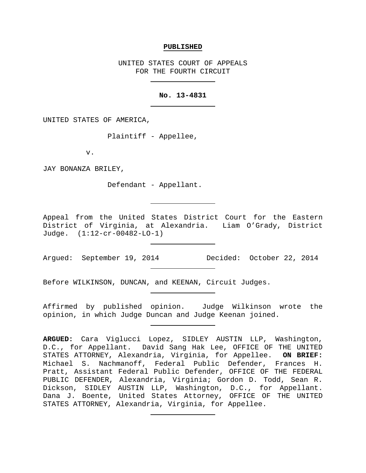### **PUBLISHED**

UNITED STATES COURT OF APPEALS FOR THE FOURTH CIRCUIT

## **No. 13-4831**

UNITED STATES OF AMERICA,

Plaintiff - Appellee,

v.

JAY BONANZA BRILEY,

Defendant - Appellant.

Appeal from the United States District Court for the Eastern District of Virginia, at Alexandria. Liam O'Grady, District Judge. (1:12-cr-00482-LO-1)

Argued: September 19, 2014 Decided: October 22, 2014

Before WILKINSON, DUNCAN, and KEENAN, Circuit Judges.

Affirmed by published opinion. Judge Wilkinson wrote the opinion, in which Judge Duncan and Judge Keenan joined.

**ARGUED:** Cara Viglucci Lopez, SIDLEY AUSTIN LLP, Washington, D.C., for Appellant. David Sang Hak Lee, OFFICE OF THE UNITED STATES ATTORNEY, Alexandria, Virginia, for Appellee. **ON BRIEF:**  Michael S. Nachmanoff, Federal Public Defender, Frances H. Pratt, Assistant Federal Public Defender, OFFICE OF THE FEDERAL PUBLIC DEFENDER, Alexandria, Virginia; Gordon D. Todd, Sean R. Dickson, SIDLEY AUSTIN LLP, Washington, D.C., for Appellant. Dana J. Boente, United States Attorney, OFFICE OF THE UNITED STATES ATTORNEY, Alexandria, Virginia, for Appellee.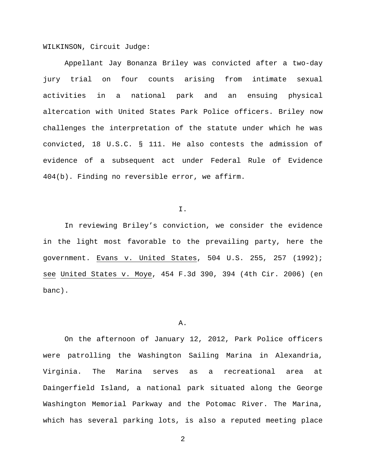WILKINSON, Circuit Judge:

Appellant Jay Bonanza Briley was convicted after a two-day jury trial on four counts arising from intimate sexual activities in a national park and an ensuing physical altercation with United States Park Police officers. Briley now challenges the interpretation of the statute under which he was convicted, 18 U.S.C. § 111. He also contests the admission of evidence of a subsequent act under Federal Rule of Evidence 404(b). Finding no reversible error, we affirm.

### I.

In reviewing Briley's conviction, we consider the evidence in the light most favorable to the prevailing party, here the government. Evans v. United States, 504 U.S. 255, 257 (1992); see United States v. Moye, 454 F.3d 390, 394 (4th Cir. 2006) (en banc).

### A.

On the afternoon of January 12, 2012, Park Police officers were patrolling the Washington Sailing Marina in Alexandria, Virginia. The Marina serves as a recreational area at Daingerfield Island, a national park situated along the George Washington Memorial Parkway and the Potomac River. The Marina, which has several parking lots, is also a reputed meeting place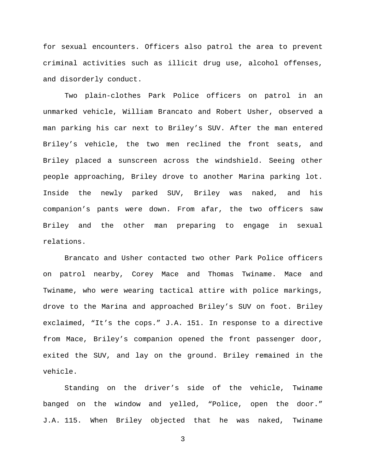for sexual encounters. Officers also patrol the area to prevent criminal activities such as illicit drug use, alcohol offenses, and disorderly conduct.

Two plain-clothes Park Police officers on patrol in an unmarked vehicle, William Brancato and Robert Usher, observed a man parking his car next to Briley's SUV. After the man entered Briley's vehicle, the two men reclined the front seats, and Briley placed a sunscreen across the windshield. Seeing other people approaching, Briley drove to another Marina parking lot. Inside the newly parked SUV, Briley was naked, and his companion's pants were down. From afar, the two officers saw Briley and the other man preparing to engage in sexual relations.

Brancato and Usher contacted two other Park Police officers on patrol nearby, Corey Mace and Thomas Twiname. Mace and Twiname, who were wearing tactical attire with police markings, drove to the Marina and approached Briley's SUV on foot. Briley exclaimed, "It's the cops." J.A. 151. In response to a directive from Mace, Briley's companion opened the front passenger door, exited the SUV, and lay on the ground. Briley remained in the vehicle.

Standing on the driver's side of the vehicle, Twiname banged on the window and yelled, "Police, open the door." J.A. 115. When Briley objected that he was naked, Twiname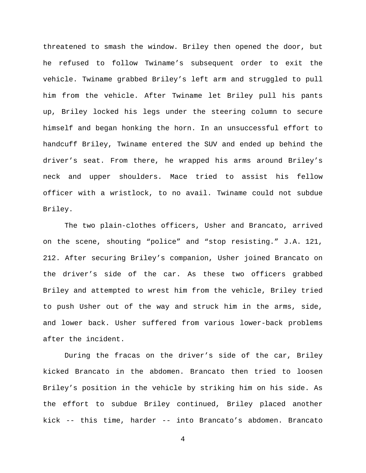threatened to smash the window. Briley then opened the door, but he refused to follow Twiname's subsequent order to exit the vehicle. Twiname grabbed Briley's left arm and struggled to pull him from the vehicle. After Twiname let Briley pull his pants up, Briley locked his legs under the steering column to secure himself and began honking the horn. In an unsuccessful effort to handcuff Briley, Twiname entered the SUV and ended up behind the driver's seat. From there, he wrapped his arms around Briley's neck and upper shoulders. Mace tried to assist his fellow officer with a wristlock, to no avail. Twiname could not subdue Briley.

The two plain-clothes officers, Usher and Brancato, arrived on the scene, shouting "police" and "stop resisting." J.A. 121, 212. After securing Briley's companion, Usher joined Brancato on the driver's side of the car. As these two officers grabbed Briley and attempted to wrest him from the vehicle, Briley tried to push Usher out of the way and struck him in the arms, side, and lower back. Usher suffered from various lower-back problems after the incident.

During the fracas on the driver's side of the car, Briley kicked Brancato in the abdomen. Brancato then tried to loosen Briley's position in the vehicle by striking him on his side. As the effort to subdue Briley continued, Briley placed another kick -- this time, harder -- into Brancato's abdomen. Brancato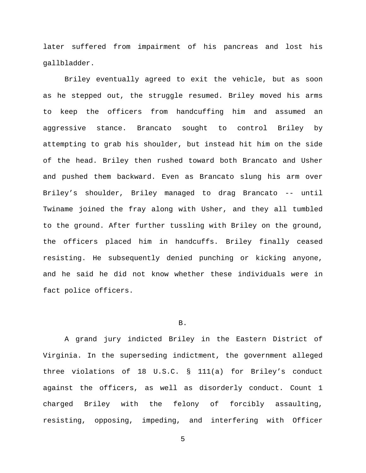later suffered from impairment of his pancreas and lost his gallbladder.

Briley eventually agreed to exit the vehicle, but as soon as he stepped out, the struggle resumed. Briley moved his arms to keep the officers from handcuffing him and assumed an aggressive stance. Brancato sought to control Briley by attempting to grab his shoulder, but instead hit him on the side of the head. Briley then rushed toward both Brancato and Usher and pushed them backward. Even as Brancato slung his arm over Briley's shoulder, Briley managed to drag Brancato -- until Twiname joined the fray along with Usher, and they all tumbled to the ground. After further tussling with Briley on the ground, the officers placed him in handcuffs. Briley finally ceased resisting. He subsequently denied punching or kicking anyone, and he said he did not know whether these individuals were in fact police officers.

## B.

A grand jury indicted Briley in the Eastern District of Virginia. In the superseding indictment, the government alleged three violations of 18 U.S.C. § 111(a) for Briley's conduct against the officers, as well as disorderly conduct. Count 1 charged Briley with the felony of forcibly assaulting, resisting, opposing, impeding, and interfering with Officer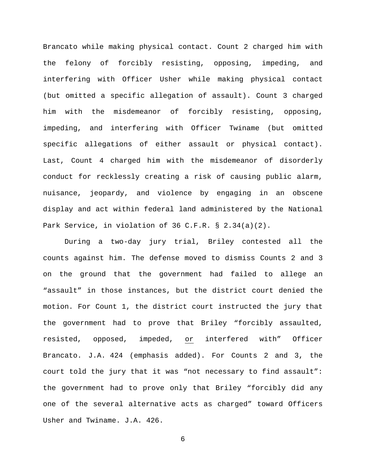Brancato while making physical contact. Count 2 charged him with the felony of forcibly resisting, opposing, impeding, and interfering with Officer Usher while making physical contact (but omitted a specific allegation of assault). Count 3 charged him with the misdemeanor of forcibly resisting, opposing, impeding, and interfering with Officer Twiname (but omitted specific allegations of either assault or physical contact). Last, Count 4 charged him with the misdemeanor of disorderly conduct for recklessly creating a risk of causing public alarm, nuisance, jeopardy, and violence by engaging in an obscene display and act within federal land administered by the National Park Service, in violation of 36 C.F.R. § 2.34(a)(2).

During a two-day jury trial, Briley contested all the counts against him. The defense moved to dismiss Counts 2 and 3 on the ground that the government had failed to allege an "assault" in those instances, but the district court denied the motion. For Count 1, the district court instructed the jury that the government had to prove that Briley "forcibly assaulted, resisted, opposed, impeded, or interfered with" Officer Brancato. J.A. 424 (emphasis added). For Counts 2 and 3, the court told the jury that it was "not necessary to find assault": the government had to prove only that Briley "forcibly did any one of the several alternative acts as charged" toward Officers Usher and Twiname. J.A. 426.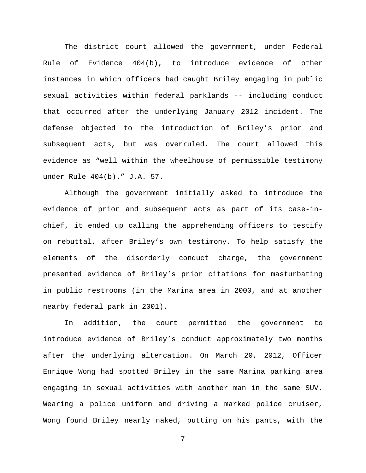The district court allowed the government, under Federal Rule of Evidence 404(b), to introduce evidence of other instances in which officers had caught Briley engaging in public sexual activities within federal parklands -- including conduct that occurred after the underlying January 2012 incident. The defense objected to the introduction of Briley's prior and subsequent acts, but was overruled. The court allowed this evidence as "well within the wheelhouse of permissible testimony under Rule 404(b)." J.A. 57.

Although the government initially asked to introduce the evidence of prior and subsequent acts as part of its case-inchief, it ended up calling the apprehending officers to testify on rebuttal, after Briley's own testimony. To help satisfy the elements of the disorderly conduct charge, the government presented evidence of Briley's prior citations for masturbating in public restrooms (in the Marina area in 2000, and at another nearby federal park in 2001).

In addition, the court permitted the government to introduce evidence of Briley's conduct approximately two months after the underlying altercation. On March 20, 2012, Officer Enrique Wong had spotted Briley in the same Marina parking area engaging in sexual activities with another man in the same SUV. Wearing a police uniform and driving a marked police cruiser, Wong found Briley nearly naked, putting on his pants, with the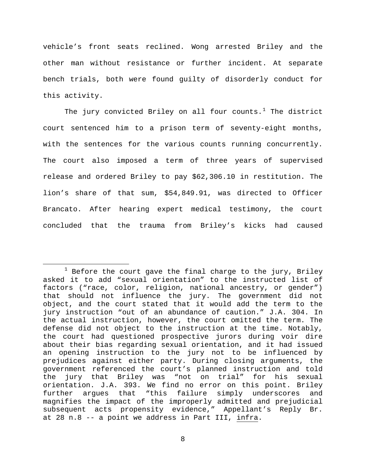vehicle's front seats reclined. Wong arrested Briley and the other man without resistance or further incident. At separate bench trials, both were found guilty of disorderly conduct for this activity.

The jury convicted Briley on all four counts.<sup>[1](#page-7-0)</sup> The district court sentenced him to a prison term of seventy-eight months, with the sentences for the various counts running concurrently. The court also imposed a term of three years of supervised release and ordered Briley to pay \$62,306.10 in restitution. The lion's share of that sum, \$54,849.91, was directed to Officer Brancato. After hearing expert medical testimony, the court concluded that the trauma from Briley's kicks had caused

<span id="page-7-0"></span> $1$  Before the court gave the final charge to the jury, Briley asked it to add "sexual orientation" to the instructed list of factors ("race, color, religion, national ancestry, or gender") that should not influence the jury. The government did not object, and the court stated that it would add the term to the jury instruction "out of an abundance of caution." J.A. 304. In the actual instruction, however, the court omitted the term. The defense did not object to the instruction at the time. Notably, the court had questioned prospective jurors during voir dire about their bias regarding sexual orientation, and it had issued an opening instruction to the jury not to be influenced by prejudices against either party. During closing arguments, the government referenced the court's planned instruction and told the jury that Briley was "not on trial" for his sexual orientation. J.A. 393. We find no error on this point. Briley<br>further arques that "this failure simply underscores and failure simply underscores and magnifies the impact of the improperly admitted and prejudicial subsequent acts propensity evidence," Appellant's Reply Br. at 28 n.8 -- a point we address in Part III, infra.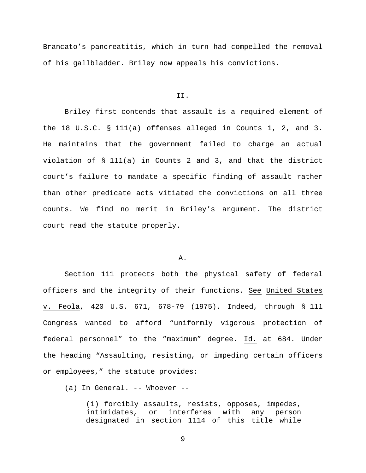Brancato's pancreatitis, which in turn had compelled the removal of his gallbladder. Briley now appeals his convictions.

### II.

Briley first contends that assault is a required element of the 18 U.S.C. § 111(a) offenses alleged in Counts 1, 2, and 3. He maintains that the government failed to charge an actual violation of § 111(a) in Counts 2 and 3, and that the district court's failure to mandate a specific finding of assault rather than other predicate acts vitiated the convictions on all three counts. We find no merit in Briley's argument. The district court read the statute properly.

## A.

Section 111 protects both the physical safety of federal officers and the integrity of their functions. See United States v. Feola, 420 U.S. 671, 678-79 (1975). Indeed, through § 111 Congress wanted to afford "uniformly vigorous protection of federal personnel" to the "maximum" degree. Id. at 684. Under the heading "Assaulting, resisting, or impeding certain officers or employees," the statute provides:

(a) In General. -- Whoever --

(1) forcibly assaults, resists, opposes, impedes, intimidates, or interferes with any person designated in section 1114 of this title while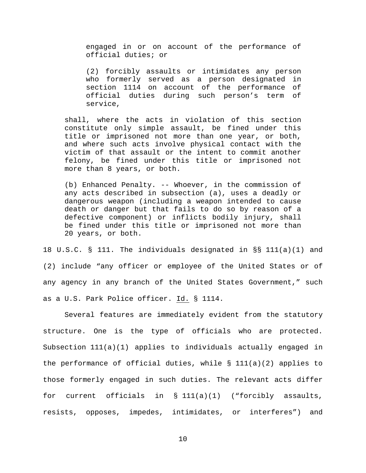engaged in or on account of the performance of official duties; or

(2) forcibly assaults or intimidates any person who formerly served as a person designated in section 1114 on account of the performance of official duties during such person's term of service,

shall, where the acts in violation of this section constitute only simple assault, be fined under this title or imprisoned not more than one year, or both, and where such acts involve physical contact with the victim of that assault or the intent to commit another felony, be fined under this title or imprisoned not more than 8 years, or both.

(b) Enhanced Penalty. -- Whoever, in the commission of any acts described in subsection (a), uses a deadly or dangerous weapon (including a weapon intended to cause death or danger but that fails to do so by reason of a defective component) or inflicts bodily injury, shall be fined under this title or imprisoned not more than 20 years, or both.

18 U.S.C. § 111. The individuals designated in §§ 111(a)(1) and (2) include "any officer or employee of the United States or of any agency in any branch of the United States Government," such as a U.S. Park Police officer. Id. § 1114.

Several features are immediately evident from the statutory structure. One is the type of officials who are protected. Subsection  $111(a)(1)$  applies to individuals actually engaged in the performance of official duties, while § 111(a)(2) applies to those formerly engaged in such duties. The relevant acts differ for current officials in § 111(a)(1) ("forcibly assaults, resists, opposes, impedes, intimidates, or interferes") and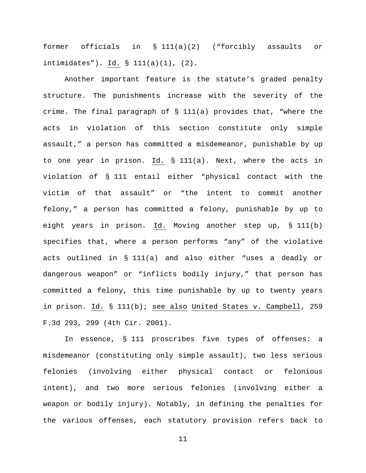former officials in § 111(a)(2) ("forcibly assaults or intimidates"). Id. § 111(a)(1), (2).

Another important feature is the statute's graded penalty structure. The punishments increase with the severity of the crime. The final paragraph of § 111(a) provides that, "where the acts in violation of this section constitute only simple assault," a person has committed a misdemeanor, punishable by up to one year in prison. Id. § 111(a). Next, where the acts in violation of § 111 entail either "physical contact with the victim of that assault" or "the intent to commit another felony," a person has committed a felony, punishable by up to eight years in prison. Id. Moving another step up, § 111(b) specifies that, where a person performs "any" of the violative acts outlined in § 111(a) and also either "uses a deadly or dangerous weapon" or "inflicts bodily injury," that person has committed a felony, this time punishable by up to twenty years in prison. Id. § 111(b); see also United States v. Campbell, 259 F.3d 293, 299 (4th Cir. 2001).

In essence, § 111 proscribes five types of offenses: a misdemeanor (constituting only simple assault), two less serious felonies (involving either physical contact or felonious intent), and two more serious felonies (involving either a weapon or bodily injury). Notably, in defining the penalties for the various offenses, each statutory provision refers back to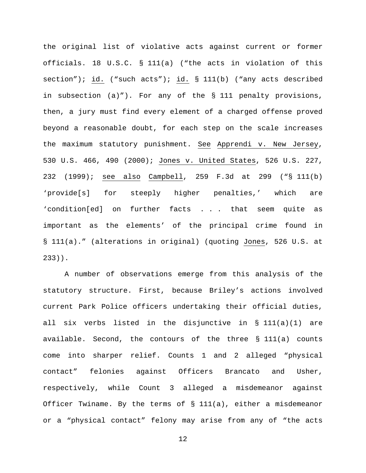the original list of violative acts against current or former officials. 18 U.S.C. § 111(a) ("the acts in violation of this section"); id. ("such acts"); id. § 111(b) ("any acts described in subsection (a)"). For any of the § 111 penalty provisions, then, a jury must find every element of a charged offense proved beyond a reasonable doubt, for each step on the scale increases the maximum statutory punishment. See Apprendi v. New Jersey, 530 U.S. 466, 490 (2000); Jones v. United States, 526 U.S. 227, 232 (1999); see also Campbell, 259 F.3d at 299 ("§ 111(b) 'provide[s] for steeply higher penalties,' which are 'condition[ed] on further facts . . . that seem quite as important as the elements' of the principal crime found in § 111(a)." (alterations in original) (quoting Jones, 526 U.S. at 233)).

A number of observations emerge from this analysis of the statutory structure. First, because Briley's actions involved current Park Police officers undertaking their official duties, all six verbs listed in the disjunctive in § 111(a)(1) are available. Second, the contours of the three § 111(a) counts come into sharper relief. Counts 1 and 2 alleged "physical contact" felonies against Officers Brancato and Usher, respectively, while Count 3 alleged a misdemeanor against Officer Twiname. By the terms of § 111(a), either a misdemeanor or a "physical contact" felony may arise from any of "the acts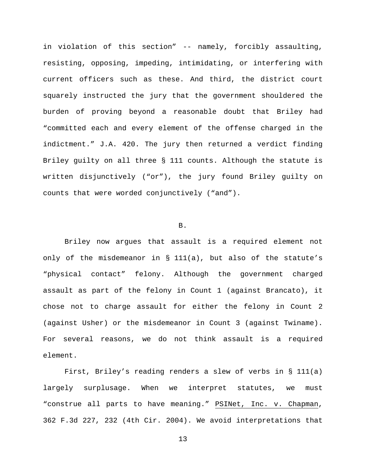in violation of this section" -- namely, forcibly assaulting, resisting, opposing, impeding, intimidating, or interfering with current officers such as these. And third, the district court squarely instructed the jury that the government shouldered the burden of proving beyond a reasonable doubt that Briley had "committed each and every element of the offense charged in the indictment." J.A. 420. The jury then returned a verdict finding Briley guilty on all three § 111 counts. Although the statute is written disjunctively ("or"), the jury found Briley guilty on counts that were worded conjunctively ("and").

### B.

Briley now argues that assault is a required element not only of the misdemeanor in § 111(a), but also of the statute's "physical contact" felony. Although the government charged assault as part of the felony in Count 1 (against Brancato), it chose not to charge assault for either the felony in Count 2 (against Usher) or the misdemeanor in Count 3 (against Twiname). For several reasons, we do not think assault is a required element.

First, Briley's reading renders a slew of verbs in § 111(a) largely surplusage. When we interpret statutes, we must "construe all parts to have meaning." PSINet, Inc. v. Chapman, 362 F.3d 227, 232 (4th Cir. 2004). We avoid interpretations that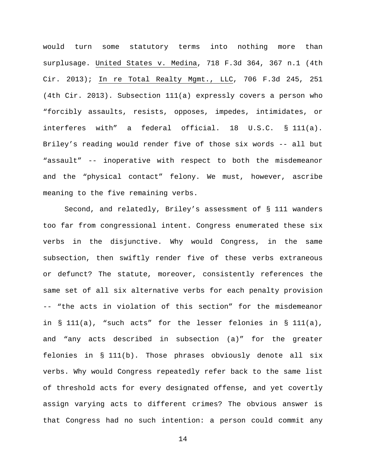would turn some statutory terms into nothing more than surplusage. United States v. Medina, 718 F.3d 364, 367 n.1 (4th Cir. 2013); In re Total Realty Mgmt., LLC, 706 F.3d 245, 251 (4th Cir. 2013). Subsection 111(a) expressly covers a person who "forcibly assaults, resists, opposes, impedes, intimidates, or interferes with" a federal official. 18 U.S.C. § 111(a). Briley's reading would render five of those six words -- all but "assault" -- inoperative with respect to both the misdemeanor and the "physical contact" felony. We must, however, ascribe meaning to the five remaining verbs.

Second, and relatedly, Briley's assessment of § 111 wanders too far from congressional intent. Congress enumerated these six verbs in the disjunctive. Why would Congress, in the same subsection, then swiftly render five of these verbs extraneous or defunct? The statute, moreover, consistently references the same set of all six alternative verbs for each penalty provision -- "the acts in violation of this section" for the misdemeanor in  $\S$  111(a), "such acts" for the lesser felonies in  $\S$  111(a), and "any acts described in subsection (a)" for the greater felonies in § 111(b). Those phrases obviously denote all six verbs. Why would Congress repeatedly refer back to the same list of threshold acts for every designated offense, and yet covertly assign varying acts to different crimes? The obvious answer is that Congress had no such intention: a person could commit any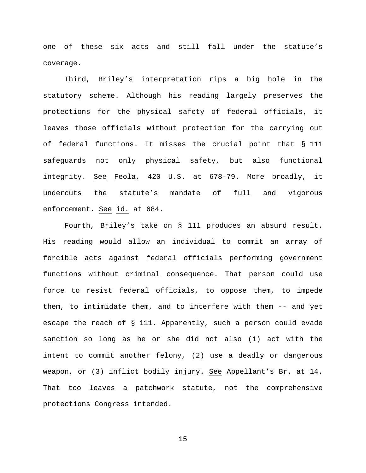one of these six acts and still fall under the statute's coverage.

Third, Briley's interpretation rips a big hole in the statutory scheme. Although his reading largely preserves the protections for the physical safety of federal officials, it leaves those officials without protection for the carrying out of federal functions. It misses the crucial point that § 111 safeguards not only physical safety, but also functional integrity. See Feola, 420 U.S. at 678-79. More broadly, it undercuts the statute's mandate of full and vigorous enforcement. See id. at 684.

Fourth, Briley's take on § 111 produces an absurd result. His reading would allow an individual to commit an array of forcible acts against federal officials performing government functions without criminal consequence. That person could use force to resist federal officials, to oppose them, to impede them, to intimidate them, and to interfere with them -- and yet escape the reach of § 111. Apparently, such a person could evade sanction so long as he or she did not also (1) act with the intent to commit another felony, (2) use a deadly or dangerous weapon, or (3) inflict bodily injury. See Appellant's Br. at 14. That too leaves a patchwork statute, not the comprehensive protections Congress intended.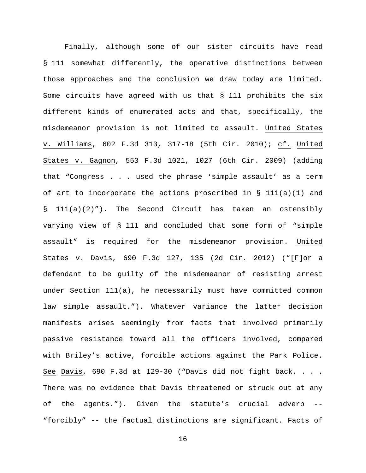Finally, although some of our sister circuits have read § 111 somewhat differently, the operative distinctions between those approaches and the conclusion we draw today are limited. Some circuits have agreed with us that § 111 prohibits the six different kinds of enumerated acts and that, specifically, the misdemeanor provision is not limited to assault. United States v. Williams, 602 F.3d 313, 317-18 (5th Cir. 2010); cf. United States v. Gagnon, 553 F.3d 1021, 1027 (6th Cir. 2009) (adding that "Congress . . . used the phrase 'simple assault' as a term of art to incorporate the actions proscribed in  $\S$  111(a)(1) and § 111(a)(2)"). The Second Circuit has taken an ostensibly varying view of § 111 and concluded that some form of "simple assault" is required for the misdemeanor provision. United States v. Davis, 690 F.3d 127, 135 (2d Cir. 2012) ("[F]or a defendant to be guilty of the misdemeanor of resisting arrest under Section 111(a), he necessarily must have committed common law simple assault."). Whatever variance the latter decision manifests arises seemingly from facts that involved primarily passive resistance toward all the officers involved, compared with Briley's active, forcible actions against the Park Police. See Davis, 690 F.3d at 129-30 ("Davis did not fight back. . . . There was no evidence that Davis threatened or struck out at any of the agents."). Given the statute's crucial adverb -- "forcibly" -- the factual distinctions are significant. Facts of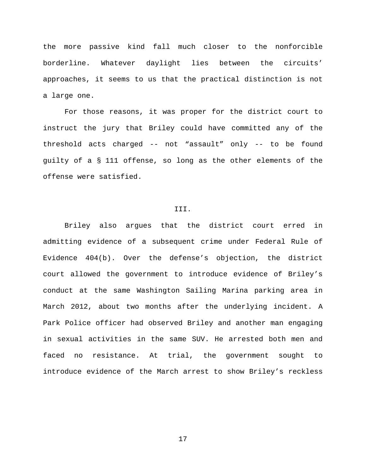the more passive kind fall much closer to the nonforcible borderline. Whatever daylight lies between the circuits' approaches, it seems to us that the practical distinction is not a large one.

For those reasons, it was proper for the district court to instruct the jury that Briley could have committed any of the threshold acts charged -- not "assault" only -- to be found guilty of a § 111 offense, so long as the other elements of the offense were satisfied.

### III.

Briley also argues that the district court erred in admitting evidence of a subsequent crime under Federal Rule of Evidence 404(b). Over the defense's objection, the district court allowed the government to introduce evidence of Briley's conduct at the same Washington Sailing Marina parking area in March 2012, about two months after the underlying incident. A Park Police officer had observed Briley and another man engaging in sexual activities in the same SUV. He arrested both men and faced no resistance. At trial, the government sought to introduce evidence of the March arrest to show Briley's reckless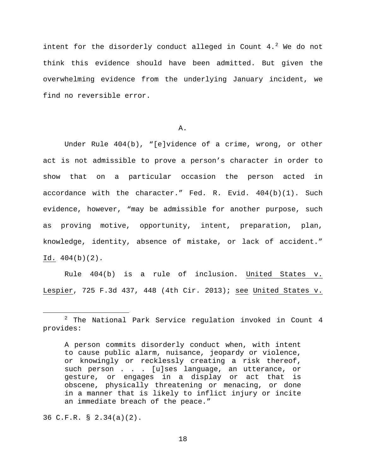intent for the disorderly conduct alleged in Count  $4.^2$  $4.^2$  We do not think this evidence should have been admitted. But given the overwhelming evidence from the underlying January incident, we find no reversible error.

A.

Under Rule 404(b), "[e]vidence of a crime, wrong, or other act is not admissible to prove a person's character in order to show that on a particular occasion the person acted in accordance with the character." Fed. R. Evid. 404(b)(1). Such evidence, however, "may be admissible for another purpose, such as proving motive, opportunity, intent, preparation, plan, knowledge, identity, absence of mistake, or lack of accident." Id. 404(b)(2).

Rule 404(b) is a rule of inclusion. United States v. Lespier, 725 F.3d 437, 448 (4th Cir. 2013); see United States v.

36 C.F.R. § 2.34(a)(2).

<span id="page-17-0"></span> $2$  The National Park Service regulation invoked in Count 4 provides:

A person commits disorderly conduct when, with intent to cause public alarm, nuisance, jeopardy or violence, or knowingly or recklessly creating a risk thereof, such person . . . [u]ses language, an utterance, or gesture, or engages in a display or act that is obscene, physically threatening or menacing, or done in a manner that is likely to inflict injury or incite an immediate breach of the peace."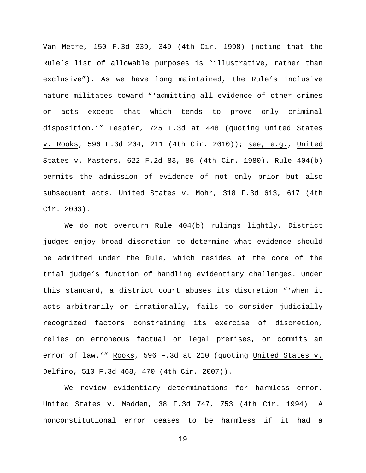Van Metre, 150 F.3d 339, 349 (4th Cir. 1998) (noting that the Rule's list of allowable purposes is "illustrative, rather than exclusive"). As we have long maintained, the Rule's inclusive nature militates toward "'admitting all evidence of other crimes or acts except that which tends to prove only criminal disposition.'" Lespier, 725 F.3d at 448 (quoting United States v. Rooks, 596 F.3d 204, 211 (4th Cir. 2010)); see, e.g., United States v. Masters, 622 F.2d 83, 85 (4th Cir. 1980). Rule 404(b) permits the admission of evidence of not only prior but also subsequent acts. United States v. Mohr, 318 F.3d 613, 617 (4th Cir. 2003).

We do not overturn Rule 404(b) rulings lightly. District judges enjoy broad discretion to determine what evidence should be admitted under the Rule, which resides at the core of the trial judge's function of handling evidentiary challenges. Under this standard, a district court abuses its discretion "'when it acts arbitrarily or irrationally, fails to consider judicially recognized factors constraining its exercise of discretion, relies on erroneous factual or legal premises, or commits an error of law.'" Rooks, 596 F.3d at 210 (quoting United States v. Delfino, 510 F.3d 468, 470 (4th Cir. 2007)).

We review evidentiary determinations for harmless error. United States v. Madden, 38 F.3d 747, 753 (4th Cir. 1994). A nonconstitutional error ceases to be harmless if it had a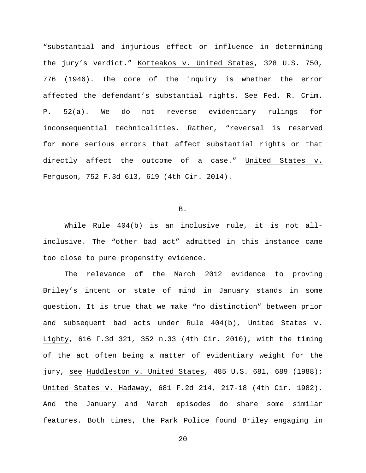"substantial and injurious effect or influence in determining the jury's verdict." Kotteakos v. United States, 328 U.S. 750, 776 (1946). The core of the inquiry is whether the error affected the defendant's substantial rights. See Fed. R. Crim. P. 52(a). We do not reverse evidentiary rulings for inconsequential technicalities. Rather, "reversal is reserved for more serious errors that affect substantial rights or that directly affect the outcome of a case." United States v. Ferguson, 752 F.3d 613, 619 (4th Cir. 2014).

### B.

While Rule 404(b) is an inclusive rule, it is not allinclusive. The "other bad act" admitted in this instance came too close to pure propensity evidence.

The relevance of the March 2012 evidence to proving Briley's intent or state of mind in January stands in some question. It is true that we make "no distinction" between prior and subsequent bad acts under Rule 404(b), United States v. Lighty, 616 F.3d 321, 352 n.33 (4th Cir. 2010), with the timing of the act often being a matter of evidentiary weight for the jury, see Huddleston v. United States, 485 U.S. 681, 689 (1988); United States v. Hadaway, 681 F.2d 214, 217-18 (4th Cir. 1982). And the January and March episodes do share some similar features. Both times, the Park Police found Briley engaging in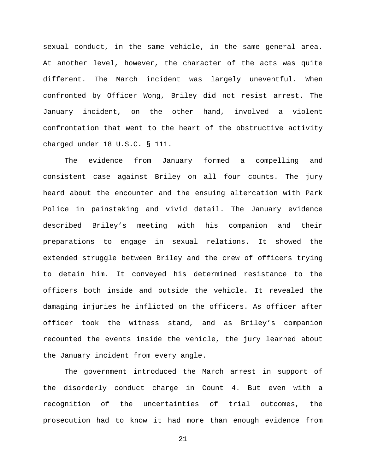sexual conduct, in the same vehicle, in the same general area. At another level, however, the character of the acts was quite different. The March incident was largely uneventful. When confronted by Officer Wong, Briley did not resist arrest. The January incident, on the other hand, involved a violent confrontation that went to the heart of the obstructive activity charged under 18 U.S.C. § 111.

The evidence from January formed a compelling and consistent case against Briley on all four counts. The jury heard about the encounter and the ensuing altercation with Park Police in painstaking and vivid detail. The January evidence described Briley's meeting with his companion and their preparations to engage in sexual relations. It showed the extended struggle between Briley and the crew of officers trying to detain him. It conveyed his determined resistance to the officers both inside and outside the vehicle. It revealed the damaging injuries he inflicted on the officers. As officer after officer took the witness stand, and as Briley's companion recounted the events inside the vehicle, the jury learned about the January incident from every angle.

The government introduced the March arrest in support of the disorderly conduct charge in Count 4. But even with a recognition of the uncertainties of trial outcomes, the prosecution had to know it had more than enough evidence from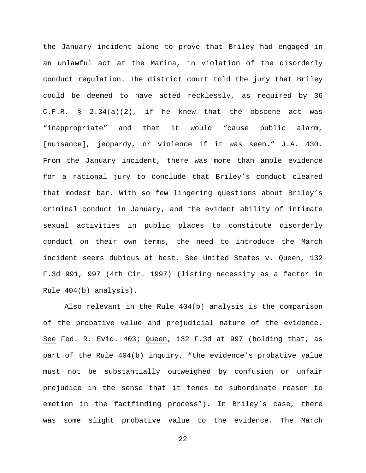the January incident alone to prove that Briley had engaged in an unlawful act at the Marina, in violation of the disorderly conduct regulation. The district court told the jury that Briley could be deemed to have acted recklessly, as required by 36 C.F.R.  $\S$  2.34(a)(2), if he knew that the obscene act was "inappropriate" and that it would "cause public alarm, [nuisance], jeopardy, or violence if it was seen." J.A. 430. From the January incident, there was more than ample evidence for a rational jury to conclude that Briley's conduct cleared that modest bar. With so few lingering questions about Briley's criminal conduct in January, and the evident ability of intimate sexual activities in public places to constitute disorderly conduct on their own terms, the need to introduce the March incident seems dubious at best. See United States v. Queen, 132 F.3d 991, 997 (4th Cir. 1997) (listing necessity as a factor in Rule 404(b) analysis).

Also relevant in the Rule 404(b) analysis is the comparison of the probative value and prejudicial nature of the evidence. See Fed. R. Evid. 403; Queen, 132 F.3d at 997 (holding that, as part of the Rule 404(b) inquiry, "the evidence's probative value must not be substantially outweighed by confusion or unfair prejudice in the sense that it tends to subordinate reason to emotion in the factfinding process"). In Briley's case, there was some slight probative value to the evidence. The March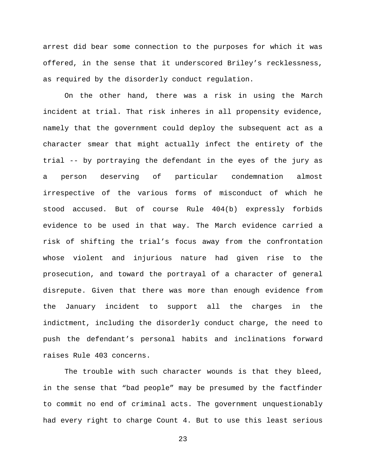arrest did bear some connection to the purposes for which it was offered, in the sense that it underscored Briley's recklessness, as required by the disorderly conduct regulation.

On the other hand, there was a risk in using the March incident at trial. That risk inheres in all propensity evidence, namely that the government could deploy the subsequent act as a character smear that might actually infect the entirety of the trial -- by portraying the defendant in the eyes of the jury as a person deserving of particular condemnation almost irrespective of the various forms of misconduct of which he stood accused. But of course Rule 404(b) expressly forbids evidence to be used in that way. The March evidence carried a risk of shifting the trial's focus away from the confrontation whose violent and injurious nature had given rise to the prosecution, and toward the portrayal of a character of general disrepute. Given that there was more than enough evidence from the January incident to support all the charges in the indictment, including the disorderly conduct charge, the need to push the defendant's personal habits and inclinations forward raises Rule 403 concerns.

The trouble with such character wounds is that they bleed, in the sense that "bad people" may be presumed by the factfinder to commit no end of criminal acts. The government unquestionably had every right to charge Count 4. But to use this least serious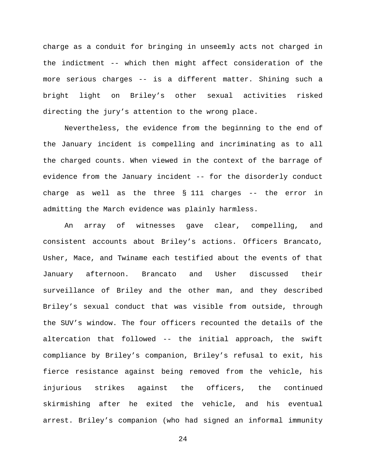charge as a conduit for bringing in unseemly acts not charged in the indictment -- which then might affect consideration of the more serious charges -- is a different matter. Shining such a bright light on Briley's other sexual activities risked directing the jury's attention to the wrong place.

Nevertheless, the evidence from the beginning to the end of the January incident is compelling and incriminating as to all the charged counts. When viewed in the context of the barrage of evidence from the January incident -- for the disorderly conduct charge as well as the three § 111 charges -- the error in admitting the March evidence was plainly harmless.

An array of witnesses gave clear, compelling, and consistent accounts about Briley's actions. Officers Brancato, Usher, Mace, and Twiname each testified about the events of that January afternoon. Brancato and Usher discussed their surveillance of Briley and the other man, and they described Briley's sexual conduct that was visible from outside, through the SUV's window. The four officers recounted the details of the altercation that followed -- the initial approach, the swift compliance by Briley's companion, Briley's refusal to exit, his fierce resistance against being removed from the vehicle, his injurious strikes against the officers, the continued skirmishing after he exited the vehicle, and his eventual arrest. Briley's companion (who had signed an informal immunity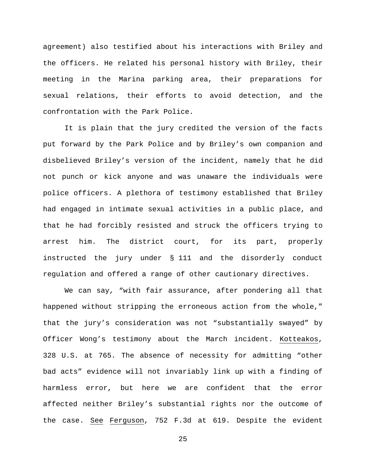agreement) also testified about his interactions with Briley and the officers. He related his personal history with Briley, their meeting in the Marina parking area, their preparations for sexual relations, their efforts to avoid detection, and the confrontation with the Park Police.

It is plain that the jury credited the version of the facts put forward by the Park Police and by Briley's own companion and disbelieved Briley's version of the incident, namely that he did not punch or kick anyone and was unaware the individuals were police officers. A plethora of testimony established that Briley had engaged in intimate sexual activities in a public place, and that he had forcibly resisted and struck the officers trying to arrest him. The district court, for its part, properly instructed the jury under § 111 and the disorderly conduct regulation and offered a range of other cautionary directives.

We can say, "with fair assurance, after pondering all that happened without stripping the erroneous action from the whole," that the jury's consideration was not "substantially swayed" by Officer Wong's testimony about the March incident. Kotteakos, 328 U.S. at 765. The absence of necessity for admitting "other bad acts" evidence will not invariably link up with a finding of harmless error, but here we are confident that the error affected neither Briley's substantial rights nor the outcome of the case. See Ferguson, 752 F.3d at 619. Despite the evident